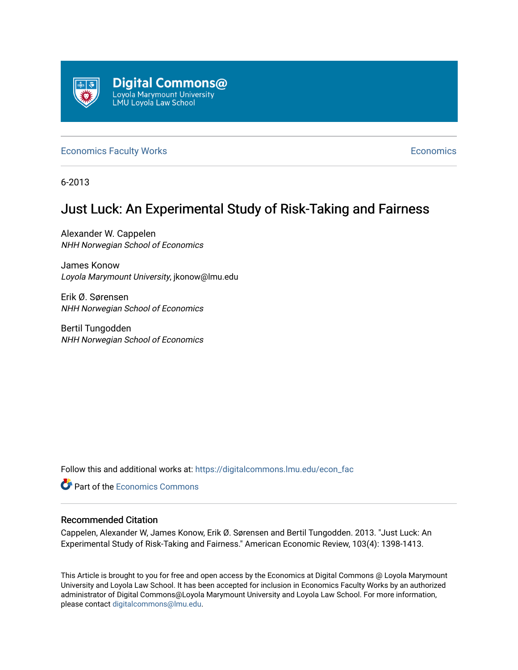

## **[Economics](https://digitalcommons.lmu.edu/econ) Faculty Works Economics** Faculty Works **Economics Economics**

6-2013

# Just Luck: An Experimental Study of Risk-Taking and Fairness

Alexander W. Cappelen NHH Norwegian School of Economics

James Konow Loyola Marymount University, jkonow@lmu.edu

Erik Ø. Sørensen NHH Norwegian School of Economics

Bertil Tungodden NHH Norwegian School of Economics

Follow this and additional works at: [https://digitalcommons.lmu.edu/econ\\_fac](https://digitalcommons.lmu.edu/econ_fac?utm_source=digitalcommons.lmu.edu%2Fecon_fac%2F32&utm_medium=PDF&utm_campaign=PDFCoverPages)

**Part of the [Economics Commons](http://network.bepress.com/hgg/discipline/340?utm_source=digitalcommons.lmu.edu%2Fecon_fac%2F32&utm_medium=PDF&utm_campaign=PDFCoverPages)** 

### Recommended Citation

Cappelen, Alexander W, James Konow, Erik Ø. Sørensen and Bertil Tungodden. 2013. "Just Luck: An Experimental Study of Risk-Taking and Fairness." American Economic Review, 103(4): 1398-1413.

This Article is brought to you for free and open access by the Economics at Digital Commons @ Loyola Marymount University and Loyola Law School. It has been accepted for inclusion in Economics Faculty Works by an authorized administrator of Digital Commons@Loyola Marymount University and Loyola Law School. For more information, please contact [digitalcommons@lmu.edu](mailto:digitalcommons@lmu.edu).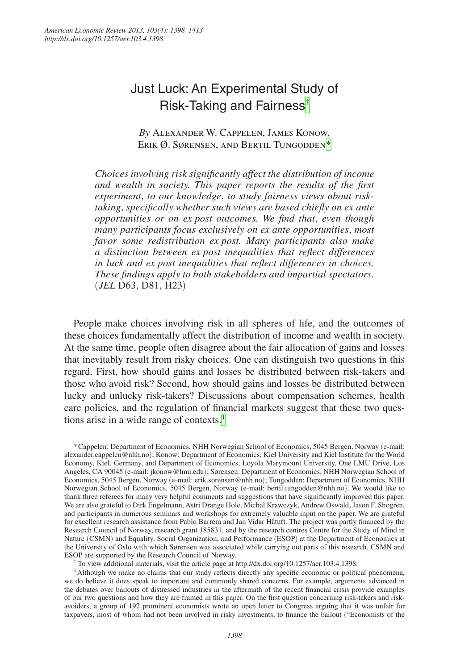# Just Luck: An Experimental Study of Risk-Taking and Fairness[†](#page-1-0)

*By* Alexander W. Cappelen, James Konow, Erik Ø. Sørensen, and Bertil Tungodde[n\\*](#page-1-1)

*Choices involving risk significantly affect the distribution of income and wealth in society. This paper reports the results of the first experiment*, *to our knowledge*, *to study fairness views about risktaking*, *specifically whether such views are based chiefly on ex ante opportunities or on ex post outcomes. We find that*, *even though many participants focus exclusively on ex ante opportunities*, *most favor some redistribution ex post. Many participants also make a distinction between ex post inequalities that reflect differences in luck and ex post inequalities that reflect differences in choices. These findings apply to both stakeholders and impartial spectators.*  (*JEL* D63, D81, H23)

People make choices involving risk in all spheres of life, and the outcomes of these choices fundamentally affect the distribution of income and wealth in society. At the same time, people often disagree about the fair allocation of gains and losses that inevitably result from risky choices. One can distinguish two questions in this regard. First, how should gains and losses be distributed between risk-takers and those who avoid risk? Second, how should gains and losses be distributed between lucky and unlucky risk-takers? Discussions about compensation schemes, health care policies, and the regulation of financial markets suggest that these two questions arise in a wide range of contexts. $<sup>1</sup>$  $<sup>1</sup>$  $<sup>1</sup>$ </sup>

<span id="page-1-1"></span>\*Cappelen: Department of Economics, NHH Norwegian School of Economics, 5045 Bergen, Norway (e-mail: alexander.cappelen@nhh.no); Konow: Department of Economics, Kiel University and Kiel Institute for the World Economy, Kiel, Germany, and Department of Economics, Loyola Marymount University, One LMU Drive, Los Angeles, CA 90045 (e-mail: jkonow@lmu.edu); Sørensen: Department of Economics, NHH Norwegian School of Economics, 5045 Bergen, Norway (e-mail: erik.sorensen@nhh.no); Tungodden: Department of Economics, NHH Norwegian School of Economics, 5045 Bergen, Norway (e-mail: bertil.tungodden@nhh.no). We would like to thank three referees for many very helpful comments and suggestions that have significantly improved this paper. We are also grateful to Dirk Engelmann, Astri Drange Hole, Michal Krawczyk, Andrew Oswald, Jason F. Shogren, and participants in numerous seminars and workshops for extremely valuable input on the paper. We are grateful for excellent research assistance from Pablo Barrera and Jan Vidar Håtuft. The project was partly financed by the Research Council of Norway, research grant 185831, and by the research centres Centre for the Study of Mind in Nature (CSMN) and Equality, Social Organization, and Performance (ESOP) at the Department of Economics at the University of Oslo with which Sørensen was associated while carrying out parts of this research. CSMN and

<span id="page-1-0"></span>ESOP are supported by the Research Council of Norway.<br>
<sup>†</sup> To view additional materials, visit the article page at http://dx.doi.org/10.1257/aer.103.4.1398.

<span id="page-1-2"></span><sup>1</sup>Although we make no claims that our study reflects directly any specific economic or political phenomena, we do believe it does speak to important and commonly shared concerns. For example, arguments advanced in the debates over bailouts of distressed industries in the aftermath of the recent financial crisis provide examples of our two questions and how they are framed in this paper. On the first question concerning risk-takers and riskavoiders, a group of 192 prominent economists wrote an open letter to Congress arguing that it was unfair for taxpayers, most of whom had not been involved in risky investments, to finance the bailout ("Economists of the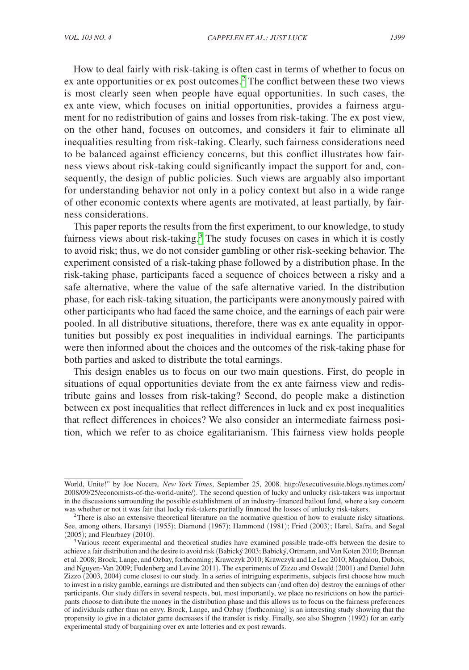How to deal fairly with risk-taking is often cast in terms of whether to focus on ex ante opportunities or ex post outcomes.<sup>[2](#page-2-0)</sup> The conflict between these two views is most clearly seen when people have equal opportunities. In such cases, the ex ante view, which focuses on initial opportunities, provides a fairness argument for no redistribution of gains and losses from risk-taking. The ex post view, on the other hand, focuses on outcomes, and considers it fair to eliminate all inequalities resulting from risk-taking. Clearly, such fairness considerations need to be balanced against efficiency concerns, but this conflict illustrates how fairness views about risk-taking could significantly impact the support for and, consequently, the design of public policies. Such views are arguably also important for understanding behavior not only in a policy context but also in a wide range of other economic contexts where agents are motivated, at least partially, by fairness considerations.

This paper reports the results from the first experiment, to our knowledge, to study fairness views about risk-taking.<sup>[3](#page-2-1)</sup> The study focuses on cases in which it is costly to avoid risk; thus, we do not consider gambling or other risk-seeking behavior. The experiment consisted of a risk-taking phase followed by a distribution phase. In the risk-taking phase, participants faced a sequence of choices between a risky and a safe alternative, where the value of the safe alternative varied. In the distribution phase, for each risk-taking situation, the participants were anonymously paired with other participants who had faced the same choice, and the earnings of each pair were pooled. In all distributive situations, therefore, there was ex ante equality in opportunities but possibly ex post inequalities in individual earnings. The participants were then informed about the choices and the outcomes of the risk-taking phase for both parties and asked to distribute the total earnings.

This design enables us to focus on our two main questions. First, do people in situations of equal opportunities deviate from the ex ante fairness view and redistribute gains and losses from risk-taking? Second, do people make a distinction between ex post inequalities that reflect differences in luck and ex post inequalities that reflect differences in choices? We also consider an intermediate fairness position, which we refer to as choice egalitarianism. This fairness view holds people

World, Unite!" by Joe Nocera. *New York Times*, September 25, 2008. http://executivesuite.blogs.nytimes.com/ 2008/09/25/economists-of-the-world-unite/)[. The second question of lucky and unlucky risk-takers was important](http://executivesuite.blogs.nytimes.com/2008/09/25/economists-of-the-world-unite/) in the discussions surrounding the possible establishment of an industry-financed bailout fund, where a key concern<br>was whether or not it was fair that lucky risk-takers partially financed the losses of unlucky risk-takers

<span id="page-2-0"></span> $2$ There is also an extensive theoretical literature on the normative question of how to evaluate risky situations. See, among others, Harsanyi (1955); Diamond (1967); Hammond (1981); Fried (2003); Harel, Safra, and Segal  $(2005)$ ; and Fleurbaey  $(2010)$ .

<span id="page-2-1"></span><sup>&</sup>lt;sup>3</sup>Various recent experimental and theoretical studies have examined possible trade-offs between the desire to achieve a fair distribution and the desire to avoid risk (Babický 2003; Babický, Ortmann, and Van Koten 2010; Brennan et al. 2008; Brock, Lange, and Ozbay, forthcoming; Krawczyk 2010; Krawczyk and Le Lec 2010; Magdalou, Dubois, and Nguyen-Van 2009; Fudenberg and Levine 2011). The experiments of Zizzo and Oswald (2001) and Daniel John Zizzo (2003, 2004) come closest to our study. In a series of intriguing experiments, subjects first choose how much to invest in a risky gamble, earnings are distributed and then subjects can (and often do) destroy the earnings of other participants. Our study differs in several respects, but, most importantly, we place no restrictions on how the participants choose to distribute the money in the distribution phase and this allows us to focus on the fairness preferences of individuals rather than on envy. Brock, Lange, and Ozbay (forthcoming) is an interesting study showing that the propensity to give in a dictator game decreases if the transfer is risky. Finally, see also Shogren (1992) for an early experimental study of bargaining over ex ante lotteries and ex post rewards.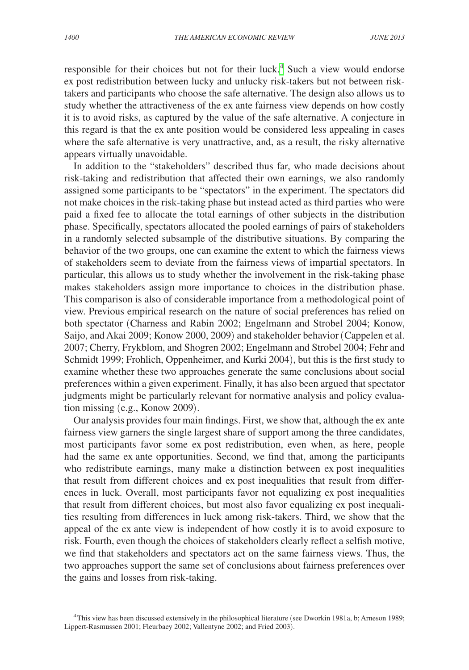responsible for their choices but not for their luck.<sup>[4](#page-3-0)</sup> Such a view would endorse ex post redistribution between lucky and unlucky risk-takers but not between risktakers and participants who choose the safe alternative. The design also allows us to study whether the attractiveness of the ex ante fairness view depends on how costly it is to avoid risks, as captured by the value of the safe alternative. A conjecture in this regard is that the ex ante position would be considered less appealing in cases where the safe alternative is very unattractive, and, as a result, the risky alternative appears virtually unavoidable.

In addition to the "stakeholders" described thus far, who made decisions about risk-taking and redistribution that affected their own earnings, we also randomly assigned some participants to be "spectators" in the experiment. The spectators did not make choices in the risk-taking phase but instead acted as third parties who were paid a fixed fee to allocate the total earnings of other subjects in the distribution phase. Specifically, spectators allocated the pooled earnings of pairs of stakeholders in a randomly selected subsample of the distributive situations. By comparing the behavior of the two groups, one can examine the extent to which the fairness views of stakeholders seem to deviate from the fairness views of impartial spectators. In particular, this allows us to study whether the involvement in the risk-taking phase makes stakeholders assign more importance to choices in the distribution phase. This comparison is also of considerable importance from a methodological point of view. Previous empirical research on the nature of social preferences has relied on both spectator (Charness and Rabin 2002; Engelmann and Strobel 2004; Konow, Saijo, and Akai 2009; Konow 2000, 2009) and stakeholder behavior (Cappelen et al. 2007; Cherry, Frykblom, and Shogren 2002; Engelmann and Strobel 2004; Fehr and Schmidt 1999; Frohlich, Oppenheimer, and Kurki 2004), but this is the first study to examine whether these two approaches generate the same conclusions about social preferences within a given experiment. Finally, it has also been argued that spectator judgments might be particularly relevant for normative analysis and policy evaluation missing (e.g., Konow 2009).

Our analysis provides four main findings. First, we show that, although the ex ante fairness view garners the single largest share of support among the three candidates, most participants favor some ex post redistribution, even when, as here, people had the same ex ante opportunities. Second, we find that, among the participants who redistribute earnings, many make a distinction between ex post inequalities that result from different choices and ex post inequalities that result from differences in luck. Overall, most participants favor not equalizing ex post inequalities that result from different choices, but most also favor equalizing ex post inequalities resulting from differences in luck among risk-takers. Third, we show that the appeal of the ex ante view is independent of how costly it is to avoid exposure to risk. Fourth, even though the choices of stakeholders clearly reflect a selfish motive, we find that stakeholders and spectators act on the same fairness views. Thus, the two approaches support the same set of conclusions about fairness preferences over the gains and losses from risk-taking.

<span id="page-3-0"></span><sup>4</sup>This view has been discussed extensively in the philosophical literature (see Dworkin 1981a, b; Arneson 1989; Lippert-Rasmussen 2001; Fleurbaey 2002; Vallentyne 2002; and Fried 2003).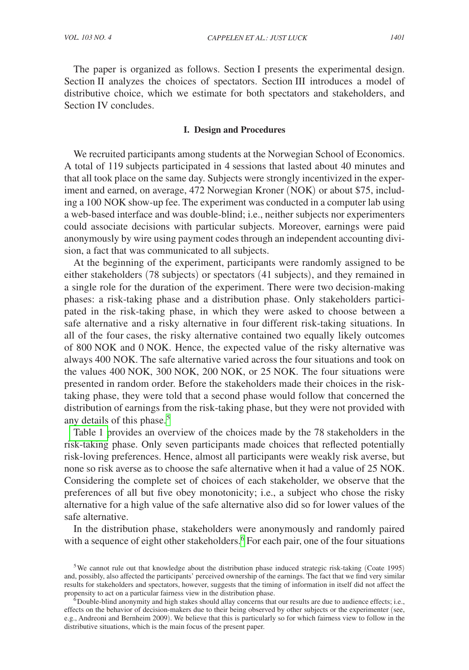The paper is organized as follows. Section I presents the experimental design. Section II analyzes the choices of spectators. Section III introduces a model of distributive choice, which we estimate for both spectators and stakeholders, and Section IV concludes.

#### **I. Design and Procedures**

We recruited participants among students at the Norwegian School of Economics. A total of 119 subjects participated in 4 sessions that lasted about 40 minutes and that all took place on the same day. Subjects were strongly incentivized in the experiment and earned, on average, 472 Norwegian Kroner (NOK) or about \$75, including a 100 NOK show-up fee. The experiment was conducted in a computer lab using a web-based interface and was double-blind; i.e., neither subjects nor experimenters could associate decisions with particular subjects. Moreover, earnings were paid anonymously by wire using payment codes through an independent accounting division, a fact that was communicated to all subjects.

At the beginning of the experiment, participants were randomly assigned to be either stakeholders (78 subjects) or spectators (41 subjects), and they remained in a single role for the duration of the experiment. There were two decision-making phases: a risk-taking phase and a distribution phase. Only stakeholders participated in the risk-taking phase, in which they were asked to choose between a safe alternative and a risky alternative in four different risk-taking situations. In all of the four cases, the risky alternative contained two equally likely outcomes of 800 NOK and 0 NOK. Hence, the expected value of the risky alternative was always 400 NOK. The safe alternative varied across the four situations and took on the values 400 NOK, 300 NOK, 200 NOK, or 25 NOK. The four situations were presented in random order. Before the stakeholders made their choices in the risktaking phase, they were told that a second phase would follow that concerned the distribution of earnings from the risk-taking phase, but they were not provided with any details of this phase.<sup>[5](#page-4-0)</sup>

[Table](#page-5-0) 1 provides an overview of the choices made by the 78 stakeholders in the risk-taking phase. Only seven participants made choices that reflected potentially risk-loving preferences. Hence, almost all participants were weakly risk averse, but none so risk averse as to choose the safe alternative when it had a value of 25 NOK. Considering the complete set of choices of each stakeholder, we observe that the preferences of all but five obey monotonicity; i.e., a subject who chose the risky alternative for a high value of the safe alternative also did so for lower values of the safe alternative.

In the distribution phase, stakeholders were anonymously and randomly paired with a sequence of eight other stakeholders.<sup>[6](#page-4-1)</sup> For each pair, one of the four situations

<span id="page-4-0"></span> $5$ We cannot rule out that knowledge about the distribution phase induced strategic risk-taking (Coate 1995) and, possibly, also affected the participants' perceived ownership of the earnings. The fact that we find very similar results for stakeholders and spectators, however, suggests that the timing of information in itself did not affect the propensity to act on a particular fairness view in the distribution phase.<br><sup>6</sup>Double-blind anonymity and high stakes should allay concerns that our results are due to audience effects; i.e.,

<span id="page-4-1"></span>effects on the behavior of decision-makers due to their being observed by other subjects or the experimenter (see, e.g., Andreoni and Bernheim 2009). We believe that this is particularly so for which fairness view to follow in the distributive situations, which is the main focus of the present paper.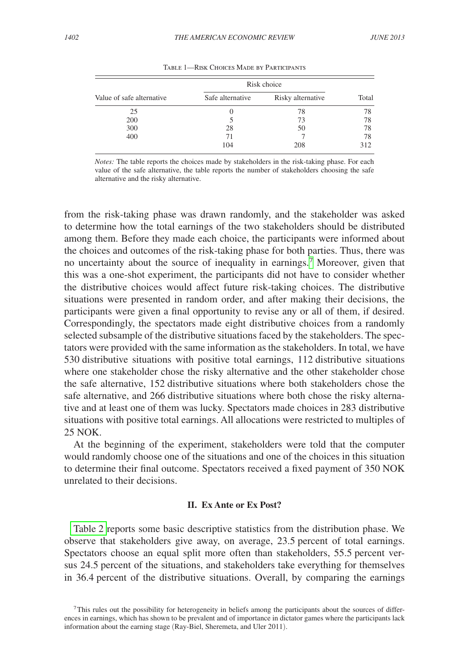<span id="page-5-0"></span>

| Value of safe alternative | Risk choice      |                   |       |
|---------------------------|------------------|-------------------|-------|
|                           | Safe alternative | Risky alternative | Total |
| 25                        |                  | 78                | 78    |
| 200                       |                  | 73                | 78    |
| 300                       | 28               | 50                | 78    |
| 400                       | 71               |                   | 78    |
|                           | 104              | 208               | 312   |

Table 1—Risk Choices Made by Participants

*Notes:* The table reports the choices made by stakeholders in the risk-taking phase. For each value of the safe alternative, the table reports the number of stakeholders choosing the safe alternative and the risky alternative.

from the risk-taking phase was drawn randomly, and the stakeholder was asked to determine how the total earnings of the two stakeholders should be distributed among them. Before they made each choice, the participants were informed about the choices and outcomes of the risk-taking phase for both parties. Thus, there was no uncertainty about the source of inequality in earnings.<sup>[7](#page-5-1)</sup> Moreover, given that this was a one-shot experiment, the participants did not have to consider whether the distributive choices would affect future risk-taking choices. The distributive situations were presented in random order, and after making their decisions, the participants were given a final opportunity to revise any or all of them, if desired. Correspondingly, the spectators made eight distributive choices from a randomly selected subsample of the distributive situations faced by the stakeholders. The spectators were provided with the same information as the stakeholders. In total, we have 530 distributive situations with positive total earnings, 112 distributive situations where one stakeholder chose the risky alternative and the other stakeholder chose the safe alternative, 152 distributive situations where both stakeholders chose the safe alternative, and 266 distributive situations where both chose the risky alternative and at least one of them was lucky. Spectators made choices in 283 distributive situations with positive total earnings. All allocations were restricted to multiples of 25 NOK.

At the beginning of the experiment, stakeholders were told that the computer would randomly choose one of the situations and one of the choices in this situation to determine their final outcome. Spectators received a fixed payment of 350 NOK unrelated to their decisions.

#### **II. Ex Ante or Ex Post?**

[Table](#page-6-0) 2 reports some basic descriptive statistics from the distribution phase. We observe that stakeholders give away, on average, 23.5 percent of total earnings. Spectators choose an equal split more often than stakeholders, 55.5 percent versus 24.5 percent of the situations, and stakeholders take everything for themselves in 36.4 percent of the distributive situations. Overall, by comparing the earnings

<span id="page-5-1"></span> $<sup>7</sup>$ This rules out the possibility for heterogeneity in beliefs among the participants about the sources of differ-</sup> ences in earnings, which has shown to be prevalent and of importance in dictator games where the participants lack information about the earning stage (Ray-Biel, Sheremeta, and Uler 2011).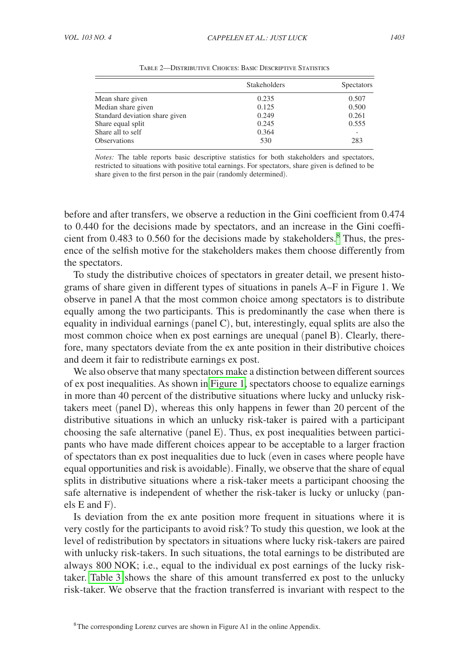<span id="page-6-0"></span>

|                                | <b>Stakeholders</b> | <b>Spectators</b> |
|--------------------------------|---------------------|-------------------|
| Mean share given               | 0.235               | 0.507             |
| Median share given             | 0.125               | 0.500             |
| Standard deviation share given | 0.249               | 0.261             |
| Share equal split              | 0.245               | 0.555             |
| Share all to self              | 0.364               | $\cdot$           |
| <b>Observations</b>            | 530                 | 283               |

Table 2—Distributive Choices: Basic Descriptive Statistics

*Notes:* The table reports basic descriptive statistics for both stakeholders and spectators, restricted to situations with positive total earnings. For spectators, share given is defined to be share given to the first person in the pair (randomly determined).

before and after transfers, we observe a reduction in the Gini coefficient from 0.474 to 0.440 for the decisions made by spectators, and an increase in the Gini coefficient from 0.483 to 0.560 for the decisions made by stakeholders.<sup>8</sup> Thus, the presence of the selfish motive for the stakeholders makes them choose differently from the spectators.

To study the distributive choices of spectators in greater detail, we present histograms of share given in different types of situations in panels A–F in Figure 1. We observe in panel A that the most common choice among spectators is to distribute equally among the two participants. This is predominantly the case when there is equality in individual earnings (panel C), but, interestingly, equal splits are also the most common choice when ex post earnings are unequal (panel B). Clearly, therefore, many spectators deviate from the ex ante position in their distributive choices and deem it fair to redistribute earnings ex post.

We also observe that many spectators make a distinction between different sources of ex post inequalities. As shown in [Figure 1,](#page-7-0) spectators choose to equalize earnings in more than 40 percent of the distributive situations where lucky and unlucky risktakers meet (panel D), whereas this only happens in fewer than 20 percent of the distributive situations in which an unlucky risk-taker is paired with a participant choosing the safe alternative (panel E). Thus, ex post inequalities between participants who have made different choices appear to be acceptable to a larger fraction of spectators than ex post inequalities due to luck (even in cases where people have equal opportunities and risk is avoidable). Finally, we observe that the share of equal splits in distributive situations where a risk-taker meets a participant choosing the safe alternative is independent of whether the risk-taker is lucky or unlucky (panels E and F).

Is deviation from the ex ante position more frequent in situations where it is very costly for the participants to avoid risk? To study this question, we look at the level of redistribution by spectators in situations where lucky risk-takers are paired with unlucky risk-takers. In such situations, the total earnings to be distributed are always 800 NOK; i.e., equal to the individual ex post earnings of the lucky risktaker. [Table](#page-8-0) 3 shows the share of this amount transferred ex post to the unlucky risk-taker. We observe that the fraction transferred is invariant with respect to the

<span id="page-6-1"></span><sup>&</sup>lt;sup>8</sup>The corresponding Lorenz curves are shown in Figure A1 in the online Appendix.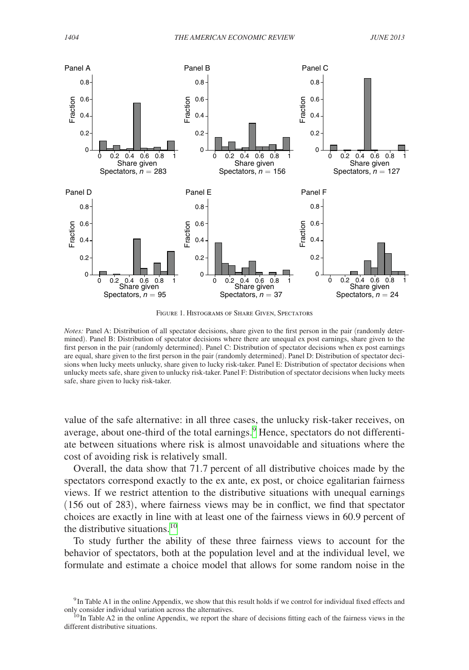<span id="page-7-0"></span>

Figure 1. Histograms of Share Given, Spectators

*Notes:* Panel A: Distribution of all spectator decisions, share given to the first person in the pair (randomly determined). Panel B: Distribution of spectator decisions where there are unequal ex post earnings, share given to the first person in the pair (randomly determined). Panel C: Distribution of spectator decisions when ex post earnings are equal, share given to the first person in the pair (randomly determined). Panel D: Distribution of spectator decisions when lucky meets unlucky, share given to lucky risk-taker. Panel E: Distribution of spectator decisions when unlucky meets safe, share given to unlucky risk-taker. Panel F: Distribution of spectator decisions when lucky meets safe, share given to lucky risk-taker.

value of the safe alternative: in all three cases, the unlucky risk-taker receives, on average, about one-third of the total earnings.<sup>[9](#page-7-1)</sup> Hence, spectators do not differentiate between situations where risk is almost unavoidable and situations where the cost of avoiding risk is relatively small.

Overall, the data show that 71.7 percent of all distributive choices made by the spectators correspond exactly to the ex ante, ex post, or choice egalitarian fairness views. If we restrict attention to the distributive situations with unequal earnings (156 out of 283), where fairness views may be in conflict, we find that spectator choices are exactly in line with at least one of the fairness views in 60.9 percent of the distributive situations.<sup>[10](#page-7-2)</sup>

To study further the ability of these three fairness views to account for the behavior of spectators, both at the population level and at the individual level, we formulate and estimate a choice model that allows for some random noise in the

<span id="page-7-1"></span> $9$  In Table A1 in the online Appendix, we show that this result holds if we control for individual fixed effects and only consider individual variation across the alternatives.

<span id="page-7-2"></span> $^{10}$ In Table A2 in the online Appendix, we report the share of decisions fitting each of the fairness views in the different distributive situations.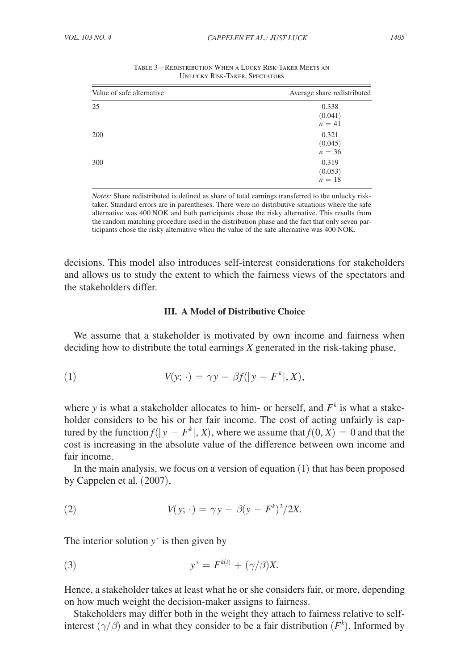<span id="page-8-0"></span>

| Value of safe alternative | Average share redistributed  |  |  |
|---------------------------|------------------------------|--|--|
| 25                        | 0.338<br>(0.041)<br>$n = 41$ |  |  |
| 200                       | 0.321<br>(0.045)<br>$n = 36$ |  |  |
| 300                       | 0.319<br>(0.053)<br>$n=18$   |  |  |

Table 3—Redistribution When a Lucky Risk-Taker Meets an Unlucky Risk-Taker, Spectators

*Notes:* Share redistributed is defined as share of total earnings transferred to the unlucky risktaker. Standard errors are in parentheses. There were no distributive situations where the safe alternative was 400 NOK and both participants chose the risky alternative. This results from the random matching procedure used in the distribution phase and the fact that only seven participants chose the risky alternative when the value of the safe alternative was 400 NOK.

decisions. This model also introduces self-interest considerations for stakeholders and allows us to study the extent to which the fairness views of the spectators and the stakeholders differ.

#### **III. A Model of Distributive Choice**

We assume that a stakeholder is motivated by own income and fairness when deciding how to distribute the total earnings *X* generated in the risk-taking phase,

(1) 
$$
V(y; \cdot) = \gamma y - \beta f(|y - F^k|, X),
$$

where *y* is what a stakeholder allocates to him- or herself, and  $F<sup>k</sup>$  is what a stakeholder considers to be his or her fair income. The cost of acting unfairly is captured by the function  $f(|y - F^k|, X)$ , where we assume that  $f(0, X) = 0$  and that the cost is increasing in the absolute value of the difference between own income and fair income.

In the main analysis, we focus on a version of equation  $(1)$  that has been proposed by Cappelen et al. (2007),

(2) 
$$
V(y; \cdot) = \gamma y - \beta (y - F^k)^2 / 2X.
$$

The interior solution  $y^*$  is then given by

(3) 
$$
y^* = F^{k(i)} + (\gamma/\beta)X.
$$

Hence, a stakeholder takes at least what he or she considers fair, or more, depending on how much weight the decision-maker assigns to fairness.

Stakeholders may differ both in the weight they attach to fairness relative to selfinterest  $(\gamma/\beta)$  and in what they consider to be a fair distribution  $(F^k)$ . Informed by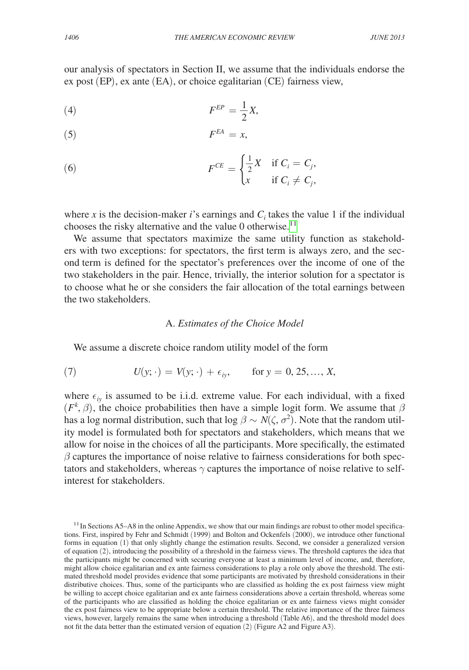our analysis of spectators in Section II, we assume that the individuals endorse the ex post (EP), ex ante (EA), or choice egalitarian (CE) fairness view,

$$
(4) \tF^{EP} = \frac{1}{2}X,
$$

$$
F^{EA} = x,
$$

(6) 
$$
F^{CE} = \begin{cases} \frac{1}{2}X & \text{if } C_i = C_j, \\ x & \text{if } C_i \neq C_j, \end{cases}
$$

where *x* is the decision-maker *i*'s earnings and  $C_i$  takes the value 1 if the individual chooses the risky alternative and the value 0 otherwise.<sup>[11](#page-9-0)</sup>

We assume that spectators maximize the same utility function as stakeholders with two exceptions: for spectators, the first term is always zero, and the second term is defined for the spectator's preferences over the income of one of the two stakeholders in the pair. Hence, trivially, the interior solution for a spectator is to choose what he or she considers the fair allocation of the total earnings between the two stakeholders.

#### A. *Estimates of the Choice Model*

We assume a discrete choice random utility model of the form

(7) 
$$
U(y; \cdot) = V(y; \cdot) + \epsilon_{iy}, \quad \text{for } y = 0, 25, ..., X,
$$

where  $\epsilon_{iv}$  is assumed to be i.i.d. extreme value. For each individual, with a fixed  $(F^k, \beta)$ , the choice probabilities then have a simple logit form. We assume that  $\beta$ has a log normal distribution, such that log  $\beta \sim N(\zeta, \sigma^2)$ . Note that the random utility model is formulated both for spectators and stakeholders, which means that we allow for noise in the choices of all the participants. More specifically, the estimated  $\beta$  captures the importance of noise relative to fairness considerations for both spectators and stakeholders, whereas  $\gamma$  captures the importance of noise relative to selfinterest for stakeholders.

<span id="page-9-0"></span> $11$  In Sections A5–A8 in the online Appendix, we show that our main findings are robust to other model specifications. First, inspired by Fehr and Schmidt (1999) and Bolton and Ockenfels (2000), we introduce other functional forms in equation (1) that only slightly change the estimation results. Second, we consider a generalized version of equation (2), introducing the possibility of a threshold in the fairness views. The threshold captures the idea that the participants might be concerned with securing everyone at least a minimum level of income, and, therefore, might allow choice egalitarian and ex ante fairness considerations to play a role only above the threshold. The estimated threshold model provides evidence that some participants are motivated by threshold considerations in their distributive choices. Thus, some of the participants who are classified as holding the ex post fairness view might be willing to accept choice egalitarian and ex ante fairness considerations above a certain threshold, whereas some of the participants who are classified as holding the choice egalitarian or ex ante fairness views might consider the ex post fairness view to be appropriate below a certain threshold. The relative importance of the three fairness views, however, largely remains the same when introducing a threshold (Table A6), and the threshold model does not fit the data better than the estimated version of equation (2) (Figure A2 and Figure A3).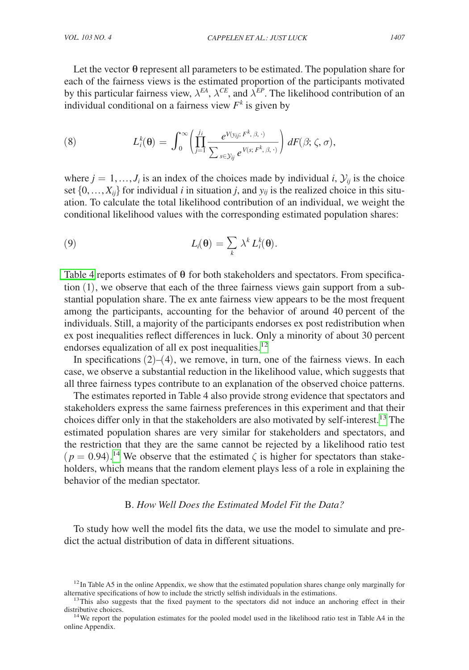Let the vector  $\theta$  represent all parameters to be estimated. The population share for each of the fairness views is the estimated proportion of the participants motivated by this particular fairness view,  $\lambda^{EA}$ ,  $\lambda^{CE}$ , and  $\lambda^{EP}$ . The likelihood contribution of an individual conditional on a fairness view  $F<sup>k</sup>$  is given by

(8)

\n
$$
L_i^k(\theta) = \int_0^\infty \left( \prod_{j=1}^{j_i} \frac{e^{V(y_{ij}; F^k, \beta, \cdot)}}{\sum_{s \in \mathcal{Y}_{ij}} e^{V(s; F^k, \beta, \cdot)}} \right) dF(\beta; \zeta, \sigma),
$$

where  $j = 1, ..., J_i$  is an index of the choices made by individual *i*,  $\mathcal{Y}_{ij}$  is the choice set  $\{0, \ldots, X_{ii}\}$  for individual *i* in situation *j*, and  $y_{ij}$  is the realized choice in this situation. To calculate the total likelihood contribution of an individual, we weight the conditional likelihood values with the corresponding estimated population shares:

(9) 
$$
L_i(\boldsymbol{\theta}) = \sum_k \lambda^k L_i^k(\boldsymbol{\theta}).
$$

[Table](#page-11-0) 4 reports estimates of **θ** for both stakeholders and spectators. From specification  $(1)$ , we observe that each of the three fairness views gain support from a substantial population share. The ex ante fairness view appears to be the most frequent among the participants, accounting for the behavior of around 40 percent of the individuals. Still, a majority of the participants endorses ex post redistribution when ex post inequalities reflect differences in luck. Only a minority of about 30 percent endorses equalization of all ex post inequalities.<sup>[12](#page-10-0)</sup>

In specifications  $(2)$ – $(4)$ , we remove, in turn, one of the fairness views. In each case, we observe a substantial reduction in the likelihood value, which suggests that all three fairness types contribute to an explanation of the observed choice patterns.

The estimates reported in Table 4 also provide strong evidence that spectators and stakeholders express the same fairness preferences in this experiment and that their choices differ only in that the stakeholders are also motivated by self-interest.<sup>13</sup> The estimated population shares are very similar for stakeholders and spectators, and the restriction that they are the same cannot be rejected by a likelihood ratio test  $(p = 0.94)$ .<sup>[14](#page-10-2)</sup> We observe that the estimated  $\zeta$  is higher for spectators than stakeholders, which means that the random element plays less of a role in explaining the behavior of the median spectator.

#### B. *How Well Does the Estimated Model Fit the Data?*

To study how well the model fits the data, we use the model to simulate and predict the actual distribution of data in different situations.

<span id="page-10-0"></span> $12$ In Table A5 in the online Appendix, we show that the estimated population shares change only marginally for alternative specifications of how to include the strictly selfish individuals in the estimations.<br><sup>13</sup>This also suggests that the fixed payment to the spectators did not induce an anchoring effect in their

<span id="page-10-1"></span>distributive choices.<br><sup>14</sup>We report the population estimates for the pooled model used in the likelihood ratio test in Table A4 in the

<span id="page-10-2"></span>online Appendix.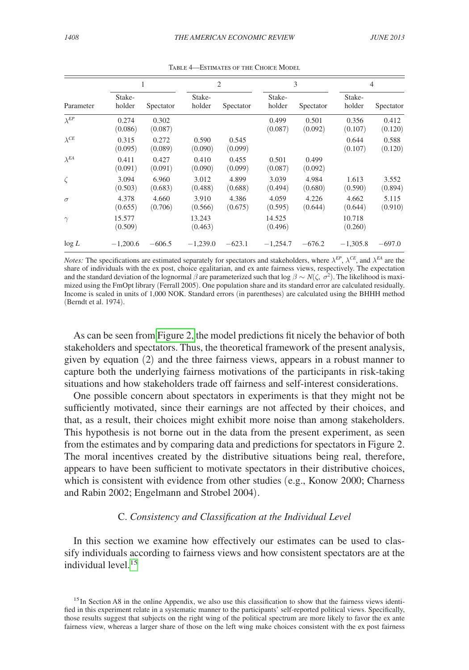<span id="page-11-0"></span>

|                | 1                 |                  | 2                 |                  | 3                 |                  | $\overline{4}$    |                  |
|----------------|-------------------|------------------|-------------------|------------------|-------------------|------------------|-------------------|------------------|
| Parameter      | Stake-<br>holder  | Spectator        | Stake-<br>holder  | Spectator        | Stake-<br>holder  | Spectator        | Stake-<br>holder  | Spectator        |
| $\lambda^{EP}$ | 0.274<br>(0.086)  | 0.302<br>(0.087) |                   |                  | 0.499<br>(0.087)  | 0.501<br>(0.092) | 0.356<br>(0.107)  | 0.412<br>(0.120) |
| $\lambda^{CE}$ | 0.315<br>(0.095)  | 0.272<br>(0.089) | 0.590<br>(0.090)  | 0.545<br>(0.099) |                   |                  | 0.644<br>(0.107)  | 0.588<br>(0.120) |
| $\lambda^{EA}$ | 0.411<br>(0.091)  | 0.427<br>(0.091) | 0.410<br>(0.090)  | 0.455<br>(0.099) | 0.501<br>(0.087)  | 0.499<br>(0.092) |                   |                  |
| $\zeta$        | 3.094<br>(0.503)  | 6.960<br>(0.683) | 3.012<br>(0.488)  | 4.899<br>(0.688) | 3.039<br>(0.494)  | 4.984<br>(0.680) | 1.613<br>(0.590)  | 3.552<br>(0.894) |
| $\sigma$       | 4.378<br>(0.655)  | 4.660<br>(0.706) | 3.910<br>(0.566)  | 4.386<br>(0.675) | 4.059<br>(0.595)  | 4.226<br>(0.644) | 4.662<br>(0.644)  | 5.115<br>(0.910) |
| $\gamma$       | 15.577<br>(0.509) |                  | 13.243<br>(0.463) |                  | 14.525<br>(0.496) |                  | 10.718<br>(0.260) |                  |
| $\log L$       | $-1,200.6$        | $-606.5$         | $-1,239.0$        | $-623.1$         | $-1,254.7$        | $-676.2$         | $-1,305.8$        | $-697.0$         |

Table 4—Estimates of the Choice Model

*Notes:* The specifications are estimated separately for spectators and stakeholders, where  $\lambda^{EP}$ ,  $\lambda^{CE}$ , and  $\lambda^{EA}$  are the share of individuals with the ex post, choice egalitarian, and ex ante fairness views, respectively. The expectation and the standard deviation of the lognormal  $\beta$  are parameterized such that log  $\beta \sim N(\zeta, \sigma^2)$ . The likelihood is maximized using the FmOpt library (Ferrall 2005). One population share and its standard error are calculated residually. Income is scaled in units of 1,000 NOK. Standard errors (in parentheses) are calculated using the BHHH method (Berndt et al. 1974).

As can be seen from [Figure 2,](#page-12-0) the model predictions fit nicely the behavior of both stakeholders and spectators. Thus, the theoretical framework of the present analysis, given by equation (2) and the three fairness views, appears in a robust manner to capture both the underlying fairness motivations of the participants in risk-taking situations and how stakeholders trade off fairness and self-interest considerations.

One possible concern about spectators in experiments is that they might not be sufficiently motivated, since their earnings are not affected by their choices, and that, as a result, their choices might exhibit more noise than among stakeholders. This hypothesis is not borne out in the data from the present experiment, as seen from the estimates and by comparing data and predictions for spectators in Figure 2. The moral incentives created by the distributive situations being real, therefore, appears to have been sufficient to motivate spectators in their distributive choices, which is consistent with evidence from other studies (e.g., Konow 2000; Charness and Rabin 2002; Engelmann and Strobel 2004).

#### C. *Consistency and Classification at the Individual Level*

In this section we examine how effectively our estimates can be used to classify individuals according to fairness views and how consistent spectators are at the individual level.<sup>[15](#page-11-1)</sup>

<span id="page-11-1"></span><sup>&</sup>lt;sup>15</sup>In Section A8 in the online Appendix, we also use this classification to show that the fairness views identified in this experiment relate in a systematic manner to the participants' self-reported political views. Specifically, those results suggest that subjects on the right wing of the political spectrum are more likely to favor the ex ante fairness view, whereas a larger share of those on the left wing make choices consistent with the ex post fairness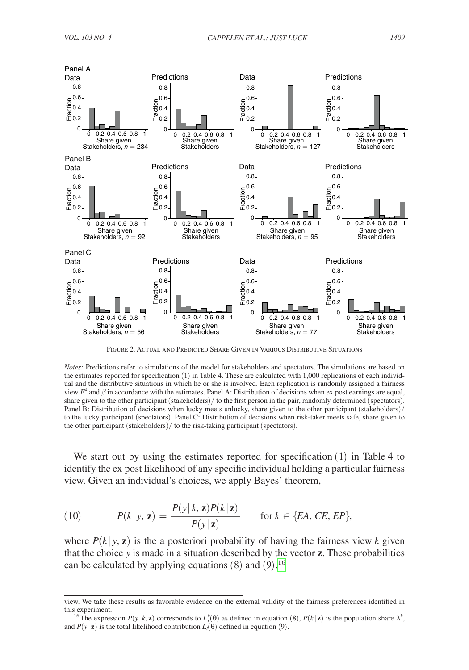<span id="page-12-0"></span>

Figure 2. Actual and Predicted Share Given in Various Distributive Situations

*Notes:* Predictions refer to simulations of the model for stakeholders and spectators. The simulations are based on the estimates reported for specification (1) in Table 4. These are calculated with 1,000 replications of each individual and the distributive situations in which he or she is involved. Each replication is randomly assigned a fairness view  $F^k$  and  $\beta$  in accordance with the estimates. Panel A: Distribution of decisions when ex post earnings are equal, share given to the other participant (stakeholders)/ to the first person in the pair, randomly determined (spectators). Panel B: Distribution of decisions when lucky meets unlucky, share given to the other participant (stakeholders)/ to the lucky participant (spectators). Panel C: Distribution of decisions when risk-taker meets safe, share given to the other participant (stakeholders)/ to the risk-taking participant (spectators).

We start out by using the estimates reported for specification (1) in Table 4 to identify the ex post likelihood of any specific individual holding a particular fairness view. Given an individual's choices, we apply Bayes' theorem,

(10) 
$$
P(k|y, z) = \frac{P(y|k, z)P(k|z)}{P(y|z)} \quad \text{for } k \in \{EA, CE, EP\},
$$

where  $P(k | y, z)$  is the a posteriori probability of having the fairness view k given that the choice *y* is made in a situation described by the vector **z**. These probabilities can be calculated by applying equations  $(8)$  and  $(9)$ .<sup>[16](#page-12-1)</sup>

view. We take these results as favorable evidence on the external validity of the fairness preferences identified in

<span id="page-12-1"></span>this experiment.<br><sup>16</sup>The expression  $P(y | k, z)$  corresponds to  $L_i^k(\theta)$  as defined in equation (8),  $P(k | z)$  is the population share  $\lambda^k$ , and  $P(y | z)$  is the total likelihood contribution  $L_i(\theta)$  defined in equation (9).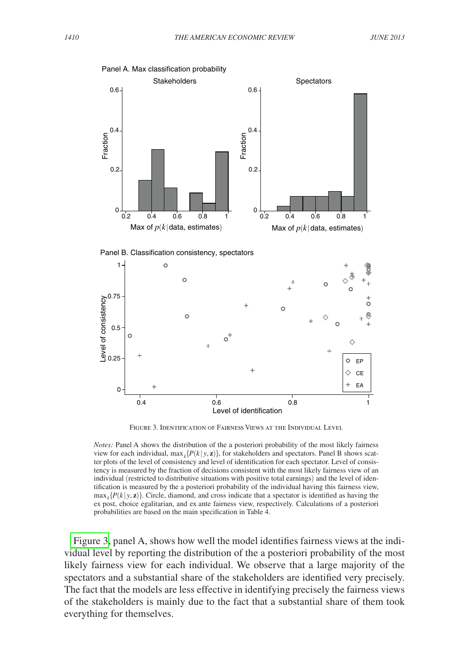EP **CE** EA

Ĉ  $\circ$ Ó



Figure 3. Identification of Fairness Views at the Individual Level

 $\circ$ 

0.4 0.6 0.8 1 Level of identification

*Notes:* Panel A shows the distribution of the a posteriori probability of the most likely fairness view for each individual,  $\max_k \{P(k | y, z)\}$ , for stakeholders and spectators. Panel B shows scatter plots of the level of consistency and level of identification for each spectator. Level of consistency is measured by the fraction of decisions consistent with the most likely fairness view of an individual (restricted to distributive situations with positive total earnings) and the level of identification is measured by the a posteriori probability of the individual having this fairness view,  $\max_k {P(k | y, z)}$ . Circle, diamond, and cross indicate that a spectator is identified as having the ex post, choice egalitarian, and ex ante fairness view, respectively. Calculations of a posteriori probabilities are based on the main specification in Table 4.

Figure 3, panel A, shows how well the model identifies fairness views at the individual level by reporting the distribution of the a posteriori probability of the most likely fairness view for each individual. We observe that a large majority of the spectators and a substantial share of the stakeholders are identified very precisely. The fact that the models are less effective in identifying precisely the fairness views of the stakeholders is mainly due to the fact that a substantial share of them took everything for themselves.

 $\Omega$ 

0.25

0.5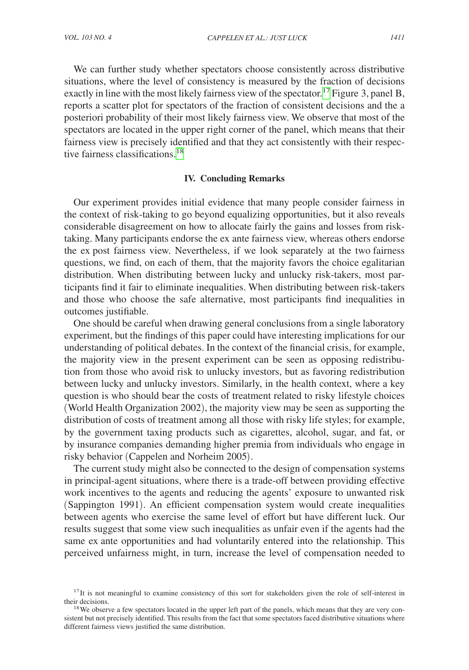We can further study whether spectators choose consistently across distributive situations, where the level of consistency is measured by the fraction of decisions exactly in line with the most likely fairness view of the spectator.<sup>17</sup> Figure 3, panel B, reports a scatter plot for spectators of the fraction of consistent decisions and the a posteriori probability of their most likely fairness view. We observe that most of the spectators are located in the upper right corner of the panel, which means that their fairness view is precisely identified and that they act consistently with their respec-tive fairness classifications.<sup>[18](#page-14-1)</sup>

#### **IV. Concluding Remarks**

Our experiment provides initial evidence that many people consider fairness in the context of risk-taking to go beyond equalizing opportunities, but it also reveals considerable disagreement on how to allocate fairly the gains and losses from risktaking. Many participants endorse the ex ante fairness view, whereas others endorse the ex post fairness view. Nevertheless, if we look separately at the two fairness questions, we find, on each of them, that the majority favors the choice egalitarian distribution. When distributing between lucky and unlucky risk-takers, most participants find it fair to eliminate inequalities. When distributing between risk-takers and those who choose the safe alternative, most participants find inequalities in outcomes justifiable.

One should be careful when drawing general conclusions from a single laboratory experiment, but the findings of this paper could have interesting implications for our understanding of political debates. In the context of the financial crisis, for example, the majority view in the present experiment can be seen as opposing redistribution from those who avoid risk to unlucky investors, but as favoring redistribution between lucky and unlucky investors. Similarly, in the health context, where a key question is who should bear the costs of treatment related to risky lifestyle choices (World Health Organization 2002), the majority view may be seen as supporting the distribution of costs of treatment among all those with risky life styles; for example, by the government taxing products such as cigarettes, alcohol, sugar, and fat, or by insurance companies demanding higher premia from individuals who engage in risky behavior (Cappelen and Norheim 2005).

The current study might also be connected to the design of compensation systems in principal-agent situations, where there is a trade-off between providing effective work incentives to the agents and reducing the agents' exposure to unwanted risk (Sappington 1991). An efficient compensation system would create inequalities between agents who exercise the same level of effort but have different luck. Our results suggest that some view such inequalities as unfair even if the agents had the same ex ante opportunities and had voluntarily entered into the relationship. This perceived unfairness might, in turn, increase the level of compensation needed to

<span id="page-14-0"></span><sup>&</sup>lt;sup>17</sup>It is not meaningful to examine consistency of this sort for stakeholders given the role of self-interest in their decisions.<br><sup>18</sup>We observe a few spectators located in the upper left part of the panels, which means that they are very con-

<span id="page-14-1"></span>sistent but not precisely identified. This results from the fact that some spectators faced distributive situations where different fairness views justified the same distribution.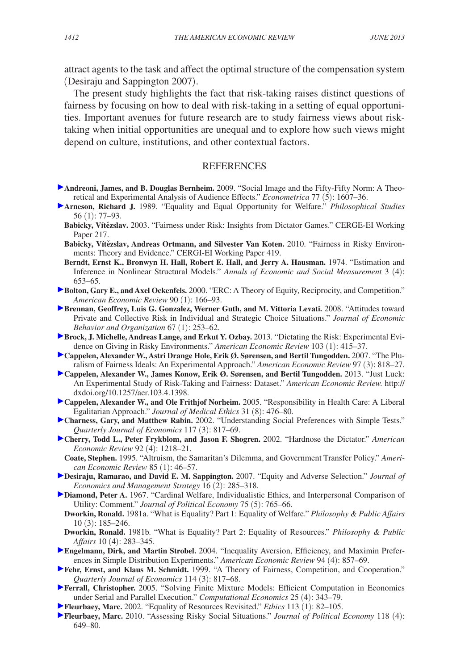attract agents to the task and affect the optimal structure of the compensation system (Desiraju and Sappington 2007).

The present study highlights the fact that risk-taking raises distinct questions of fairness by focusing on how to deal with risk-taking in a setting of equal opportunities. Important avenues for future research are to study fairness views about risktaking when initial opportunities are unequal and to explore how such views might depend on culture, institutions, and other contextual factors.

#### REFERENCES

- **Andreoni, James, and B. Douglas Bernheim.** 2009. "Social Image and the Fifty-Fifty Norm: A Theoretical and Experimental Analysis of Audience Effects." *Econometrica* 77 (5): 1607–36.
- **Arneson, Richard J.** 1989. "Equality and Equal Opportunity for Welfare." *Philosophical Studies*  56 (1): 77–93.
	- Babicky, Vítězslav. 2003. "Fairness under Risk: Insights from Dictator Games." CERGE-EI Working Paper 217.
	- Babicky, Vítězslav, Andreas Ortmann, and Silvester Van Koten. 2010. "Fairness in Risky Environments: Theory and Evidence." CERGI-EI Working Paper 419.
	- **Berndt, Ernst K., Bronwyn H. Hall, Robert E. Hall, and Jerry A. Hausman.** 1974. "Estimation and Inference in Nonlinear Structural Models." *Annals of Economic and Social Measurement* 3 (4): 653–65.
- **Bolton, Gary E., and Axel Ockenfels.** 2000. "ERC: A Theory of Equity, Reciprocity, and Competition." *American Economic Review* 90 (1): 166–93.
- **Brennan, Geoffrey, Luis G. Gonzalez, Werner Guth, and M. Vittoria Levati.** 2008. "Attitudes toward Private and Collective Risk in Individual and Strategic Choice Situations." *Journal of Economic Behavior and Organization* 67 (1): 253–62.
- **Brock, J. Michelle, Andreas Lange, and Erkut Y. Ozbay.** 2013. "Dictating the Risk: Experimental Evidence on Giving in Risky Environments." *American Economic Review* 103 (1): 415–37*.*
- **Cappelen, Alexander W., Astri Drange Hole, Erik Ø. Sørensen, and Bertil Tungodden.** 2007. "The Pluralism of Fairness Ideals: An Experimental Approach." *American Economic Review* 97 (3): 818–27.
- **Cappelen, Alexander W., James Konow, Erik Ø. Sørensen, and Bertil Tungodden.** 2013. "Just Luck: An Experimental Study of Risk-Taking and Fairness: Dataset." *American Economic Review.* http:// dxdoi.org/10.1257/aer.103.4.1398.
- **Cappelen, Alexander W., and Ole Frithjof Norheim.** 2005. "Responsibility in Health Care: A Liberal Egalitarian Approach." *Journal of Medical Ethics* 31 (8): 476–80.
- **Charness, Gary, and Matthew Rabin.** 2002. "Understanding Social Preferences with Simple Tests." *Quarterly Journal of Economics* 117 (3): 817–69.
- **Cherry, Todd L., Peter Frykblom, and Jason F. Shogren.** 2002. "Hardnose the Dictator." *American Economic Review* 92 (4): 1218–21.
- **Coate, Stephen.** 1995. "Altruism, the Samaritan's Dilemma, and Government Transfer Policy." *American Economic Review* 85 (1): 46–57.
- **Desiraju, Ramarao, and David E. M. Sappington.** 2007. "Equity and Adverse Selection." *Journal of Economics and Management Strategy* 16 (2): 285–318.
- **Diamond, Peter A.** 1967. "Cardinal Welfare, Individualistic Ethics, and Interpersonal Comparison of Utility: Comment." *Journal of Political Economy* 75 (5): 765–66.
	- **Dworkin, Ronald.** 1981a. "What is Equality? Part 1: Equality of Welfare." *Philosophy & Public Affairs*  10 (3): 185–246.
	- **Dworkin, Ronald.** 1981b. "What is Equality? Part 2: Equality of Resources." *Philosophy & Public Affairs* 10 (4): 283–345.
- **Engelmann, Dirk, and Martin Strobel.** 2004. "Inequality Aversion, Efficiency, and Maximin Preferences in Simple Distribution Experiments." *American Economic Review* 94 (4): 857–69.
- **Fehr, Ernst, and Klaus M. Schmidt.** 1999. "A Theory of Fairness, Competition, and Cooperation." *Quarterly Journal of Economics* 114 (3): 817–68.
- **Ferrall, Christopher.** 2005. "Solving Finite Mixture Models: Efficient Computation in Economics under Serial and Parallel Execution." *Computational Economics* 25 (4): 343–79.
- **Fleurbaey, Marc.** 2002. "Equality of Resources Revisited." *Ethics* 113 (1): 82–105.
- **Fleurbaey, Marc.** 2010. "Assessing Risky Social Situations." *Journal of Political Economy* 118 (4): 649–80.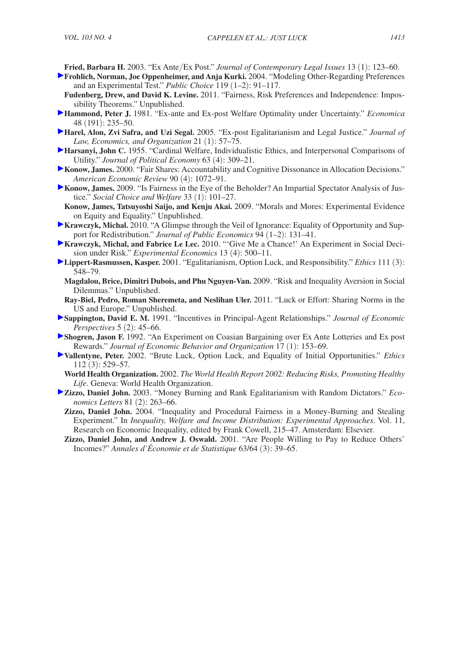**Fried, Barbara H.** 2003. "Ex Ante/Ex Post." *Journal of Contemporary Legal Issues* 13 (1): 123–60.

- **Frohlich, Norman, Joe Oppenheimer, and Anja Kurki.** 2004. "Modeling Other-Regarding Preferences and an Experimental Test." *Public Choice* 119 (1–2): 91–117.
- **Fudenberg, Drew, and David K. Levine.** 2011. "Fairness, Risk Preferences and Independence: Impossibility Theorems." Unpublished.
- **Hammond, Peter J.** 1981. "Ex-ante and Ex-post Welfare Optimality under Uncertainty." *Economica* 48 (191): 235–50.
- **Harel, Alon, Zvi Safra, and Uzi Segal.** 2005. "Ex-post Egalitarianism and Legal Justice." *Journal of Law, Economics, and Organization* 21 (1): 57–75.
- **Harsanyi, John C.** 1955. "Cardinal Welfare, Individualistic Ethics, and Interpersonal Comparisons of Utility." *Journal of Political Economy* 63 (4): 309–21.
- **Konow, James.** 2000. "Fair Shares: Accountability and Cognitive Dissonance in Allocation Decisions." *American Economic Review* 90 (4): 1072–91.
- **Konow, James.** 2009. "Is Fairness in the Eye of the Beholder? An Impartial Spectator Analysis of Justice." *Social Choice and Welfare* 33 (1): 101–27.
- **Konow, James, Tatsuyoshi Saijo, and Kenju Akai.** 2009. "Morals and Mores: Experimental Evidence on Equity and Equality." Unpublished.
- **Krawczyk, Michal.** 2010. "A Glimpse through the Veil of Ignorance: Equality of Opportunity and Support for Redistribution." *Journal of Public Economics* 94 (1–2): 131–41.
- **Krawczyk, Michal, and Fabrice Le Lec.** 2010. "'Give Me a Chance!' An Experiment in Social Decision under Risk." *Experimental Economics* 13 (4): 500–11.
- **Lippert-Rasmussen, Kasper.** 2001. "Egalitarianism, Option Luck, and Responsibility." *Ethics* 111 (3): 548–79.
- **Magdalou, Brice, Dimitri Dubois, and Phu Nguyen-Van.** 2009. "Risk and Inequality Aversion in Social Dilemmas." Unpublished.
- **Ray-Biel, Pedro, Roman Sheremeta, and Neslihan Uler.** 2011. "Luck or Effort: Sharing Norms in the US and Europe." Unpublished.
- **Sappington, David E. M.** 1991. "Incentives in Principal-Agent Relationships." *Journal of Economic Perspectives* 5 (2): 45–66.
- **Shogren, Jason F.** 1992. "An Experiment on Coasian Bargaining over Ex Ante Lotteries and Ex post Rewards." *Journal of Economic Behavior and Organization* 17 (1): 153–69.
- **Vallentyne, Peter.** 2002. "Brute Luck, Option Luck, and Equality of Initial Opportunities." *Ethics*  112 (3): 529–57.
- **World Health Organization.** 2002. *The World Health Report 2002: Reducing Risks, Promoting Healthy Life*. Geneva: World Health Organization.
- **Zizzo, Daniel John.** 2003. "Money Burning and Rank Egalitarianism with Random Dictators." *Economics Letters* 81 (2): 263–66.
	- **Zizzo, Daniel John.** 2004. "Inequality and Procedural Fairness in a Money-Burning and Stealing Experiment." In *Inequality, Welfare and Income Distribution: Experimental Approaches*. Vol. 11, Research on Economic Inequality, edited by Frank Cowell, 215–47. Amsterdam: Elsevier.
	- **Zizzo, Daniel John, and Andrew J. Oswald.** 2001. "Are People Willing to Pay to Reduce Others' Incomes?" *Annales d'Économie et de Statistique* 63/64 (3): 39–65.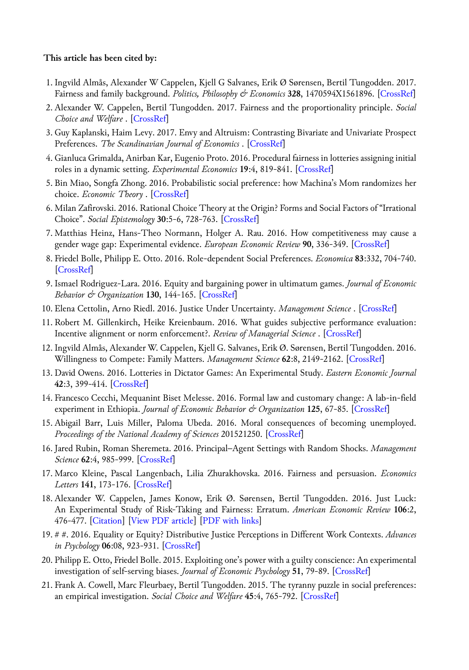#### **This article has been cited by:**

- 1. Ingvild Almås, Alexander W Cappelen, Kjell G Salvanes, Erik Ø Sørensen, Bertil Tungodden. 2017. Fairness and family background. *Politics, Philosophy & Economics* **328**, 1470594X1561896. [[CrossRef\]](http://dx.doi.org/10.1177/1470594X15618966)
- 2. Alexander W. Cappelen, Bertil Tungodden. 2017. Fairness and the proportionality principle. *Social Choice and Welfare* . [\[CrossRef](http://dx.doi.org/10.1007/s00355-016-1016-6)]
- 3. Guy Kaplanski, Haim Levy. 2017. Envy and Altruism: Contrasting Bivariate and Univariate Prospect Preferences. *The Scandinavian Journal of Economics* . [\[CrossRef\]](http://dx.doi.org/10.1111/sjoe.12168)
- 4. Gianluca Grimalda, Anirban Kar, Eugenio Proto. 2016. Procedural fairness in lotteries assigning initial roles in a dynamic setting. *Experimental Economics* **19**:4, 819-841. [\[CrossRef](http://dx.doi.org/10.1007/s10683-015-9469-5)]
- 5. Bin Miao, Songfa Zhong. 2016. Probabilistic social preference: how Machina's Mom randomizes her choice. *Economic Theory* . [[CrossRef\]](http://dx.doi.org/10.1007/s00199-016-1015-y)
- 6. Milan Zafirovski. 2016. Rational Choice Theory at the Origin? Forms and Social Factors of "Irrational Choice". *Social Epistemology* **30**:5-6, 728-763. [\[CrossRef](http://dx.doi.org/10.1080/02691728.2016.1172358)]
- 7. Matthias Heinz, Hans-Theo Normann, Holger A. Rau. 2016. How competitiveness may cause a gender wage gap: Experimental evidence. *European Economic Review* **90**, 336-349. [[CrossRef\]](http://dx.doi.org/10.1016/j.euroecorev.2016.02.011)
- 8. Friedel Bolle, Philipp E. Otto. 2016. Role-dependent Social Preferences. *Economica* **83**:332, 704-740. [\[CrossRef](http://dx.doi.org/10.1111/ecca.12180)]
- 9. Ismael Rodriguez-Lara. 2016. Equity and bargaining power in ultimatum games. *Journal of Economic Behavior & Organization* **130**, 144-165. [[CrossRef\]](http://dx.doi.org/10.1016/j.jebo.2016.07.007)
- 10. Elena Cettolin, Arno Riedl. 2016. Justice Under Uncertainty. *Management Science* . [\[CrossRef\]](http://dx.doi.org/10.1287/mnsc.2016.2535)
- 11. Robert M. Gillenkirch, Heike Kreienbaum. 2016. What guides subjective performance evaluation: Incentive alignment or norm enforcement?. *Review of Managerial Science* . [\[CrossRef](http://dx.doi.org/10.1007/s11846-016-0209-9)]
- 12. Ingvild Almås, Alexander W. Cappelen, Kjell G. Salvanes, Erik Ø. Sørensen, Bertil Tungodden. 2016. Willingness to Compete: Family Matters. *Management Science* **62**:8, 2149-2162. [\[CrossRef](http://dx.doi.org/10.1287/mnsc.2015.2244)]
- 13.David Owens. 2016. Lotteries in Dictator Games: An Experimental Study. *Eastern Economic Journal* **42**:3, 399-414. [[CrossRef\]](http://dx.doi.org/10.1057/eej.2014.61)
- 14. Francesco Cecchi, Mequanint Biset Melesse. 2016. Formal law and customary change: A lab-in-field experiment in Ethiopia. *Journal of Economic Behavior & Organization* **125**, 67-85. [[CrossRef\]](http://dx.doi.org/10.1016/j.jebo.2016.01.006)
- 15. Abigail Barr, Luis Miller, Paloma Ubeda. 2016. Moral consequences of becoming unemployed. *Proceedings of the National Academy of Sciences* 201521250. [\[CrossRef](http://dx.doi.org/10.1073/pnas.1521250113)]
- 16. Jared Rubin, Roman Sheremeta. 2016. Principal–Agent Settings with Random Shocks. *Management Science* **62**:4, 985-999. [\[CrossRef](http://dx.doi.org/10.1287/mnsc.2015.2177)]
- 17. Marco Kleine, Pascal Langenbach, Lilia Zhurakhovska. 2016. Fairness and persuasion. *Economics Letters* **141**, 173-176. [[CrossRef\]](http://dx.doi.org/10.1016/j.econlet.2016.02.019)
- 18. Alexander W. Cappelen, James Konow, Erik Ø. Sørensen, Bertil Tungodden. 2016. Just Luck: An Experimental Study of Risk-Taking and Fairness: Erratum. *American Economic Review* **106**:2, 476-477. [\[Citation](http://dx.doi.org/10.1257/aer.20100273)] [[View PDF article\]](http://pubs.aeaweb.org/doi/pdf/10.1257/aer.20100273) [[PDF with links](http://pubs.aeaweb.org/doi/pdfplus/10.1257/aer.20100273)]
- 19. 倩 倩. 2016. Equality or Equity? Distributive Justice Perceptions in Different Work Contexts. *Advances in Psychology* **06**:08, 923-931. [\[CrossRef](http://dx.doi.org/10.12677/AP.2016.68118)]
- 20. Philipp E. Otto, Friedel Bolle. 2015. Exploiting one's power with a guilty conscience: An experimental investigation of self-serving biases. *Journal of Economic Psychology* **51**, 79-89. [\[CrossRef](http://dx.doi.org/10.1016/j.joep.2015.08.005)]
- 21. Frank A. Cowell, Marc Fleurbaey, Bertil Tungodden. 2015. The tyranny puzzle in social preferences: an empirical investigation. *Social Choice and Welfare* **45**:4, 765-792. [\[CrossRef](http://dx.doi.org/10.1007/s00355-015-0880-9)]